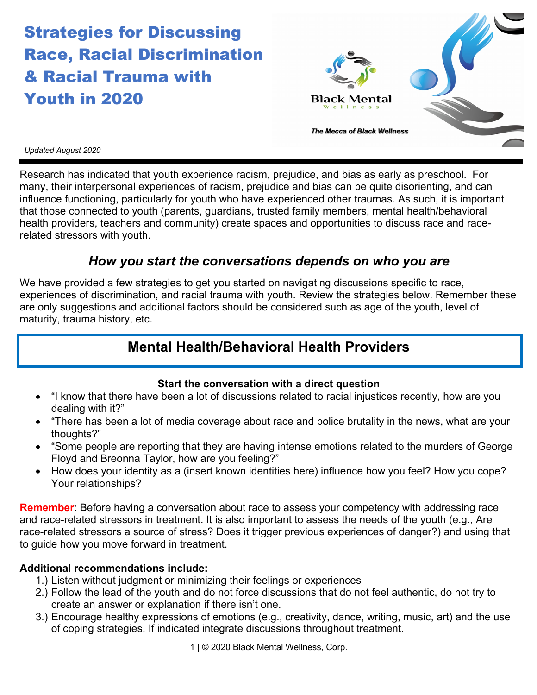# Strategies for Discussing Race, Racial Discrimination & Racial Trauma with Youth in 2020



#### *Updated August 2020*

Research has indicated that youth experience racism, prejudice, and bias as early as preschool. For many, their interpersonal experiences of racism, prejudice and bias can be quite disorienting, and can influence functioning, particularly for youth who have experienced other traumas. As such, it is important that those connected to youth (parents, guardians, trusted family members, mental health/behavioral health providers, teachers and community) create spaces and opportunities to discuss race and racerelated stressors with youth.

### *How you start the conversations depends on who you are*

We have provided a few strategies to get you started on navigating discussions specific to race, experiences of discrimination, and racial trauma with youth. Review the strategies below. Remember these are only suggestions and additional factors should be considered such as age of the youth, level of maturity, trauma history, etc.

### **Mental Health/Behavioral Health Providers**

### **Start the conversation with a direct question**

- "I know that there have been a lot of discussions related to racial injustices recently, how are you dealing with it?"
- "There has been a lot of media coverage about race and police brutality in the news, what are your thoughts?"
- "Some people are reporting that they are having intense emotions related to the murders of George Floyd and Breonna Taylor, how are you feeling?"
- How does your identity as a (insert known identities here) influence how you feel? How you cope? Your relationships?

**Remember**: Before having a conversation about race to assess your competency with addressing race and race-related stressors in treatment. It is also important to assess the needs of the youth (e.g., Are race-related stressors a source of stress? Does it trigger previous experiences of danger?) and using that to guide how you move forward in treatment.

### **Additional recommendations include:**

- 1.) Listen without judgment or minimizing their feelings or experiences
- 2.) Follow the lead of the youth and do not force discussions that do not feel authentic, do not try to create an answer or explanation if there isn't one.
- 3.) Encourage healthy expressions of emotions (e.g., creativity, dance, writing, music, art) and the use of coping strategies. If indicated integrate discussions throughout treatment.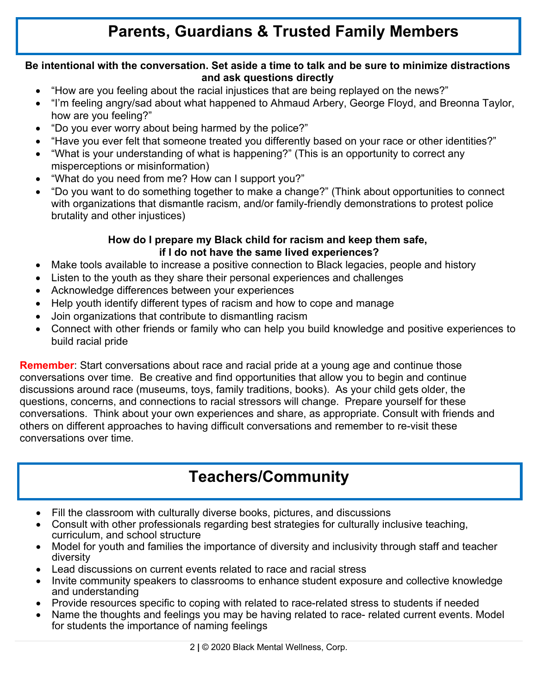## **Parents, Guardians & Trusted Family Members**

### **Be intentional with the conversation. Set aside a time to talk and be sure to minimize distractions and ask questions directly**

- "How are you feeling about the racial injustices that are being replayed on the news?"
- "I'm feeling angry/sad about what happened to Ahmaud Arbery, George Floyd, and Breonna Taylor, how are you feeling?"
- "Do you ever worry about being harmed by the police?"
- "Have you ever felt that someone treated you differently based on your race or other identities?"
- "What is your understanding of what is happening?" (This is an opportunity to correct any misperceptions or misinformation)
- "What do you need from me? How can I support you?"
- "Do you want to do something together to make a change?" (Think about opportunities to connect with organizations that dismantle racism, and/or family-friendly demonstrations to protest police brutality and other injustices)

### **How do I prepare my Black child for racism and keep them safe, if I do not have the same lived experiences?**

- Make tools available to increase a positive connection to Black legacies, people and history
- Listen to the youth as they share their personal experiences and challenges
- Acknowledge differences between your experiences
- Help youth identify different types of racism and how to cope and manage
- Join organizations that contribute to dismantling racism
- Connect with other friends or family who can help you build knowledge and positive experiences to build racial pride

**Remember**: Start conversations about race and racial pride at a young age and continue those conversations over time. Be creative and find opportunities that allow you to begin and continue discussions around race (museums, toys, family traditions, books). As your child gets older, the questions, concerns, and connections to racial stressors will change. Prepare yourself for these conversations. Think about your own experiences and share, as appropriate. Consult with friends and others on different approaches to having difficult conversations and remember to re-visit these conversations over time.

## **Teachers/Community**

- Fill the classroom with culturally diverse books, pictures, and discussions
- eurriculum, and school structure and that reflect your child is able to emotion what you child is able to emotion what your child is able to emotion what you child is able to emotionally what you child is able to emotional • Consult with other professionals regarding best strategies for culturally inclusive teaching,
- Model for youth and families the importance of diversity and inclusivity through staff and teacher diversity
- Lead discussions on current events related to race and racial stress
- and understanding. This conversation seems about your own experiences. This consult with friends and others on different approaches to having different approaches to having different approaches to having different approach • Invite community speakers to classrooms to enhance student exposure and collective knowledge
- Provide resources specific to coping with related to race-related stress to students if needed
- Name the thoughts and feelings you may be having related to race- related current events. Model for students the importance of naming feelings